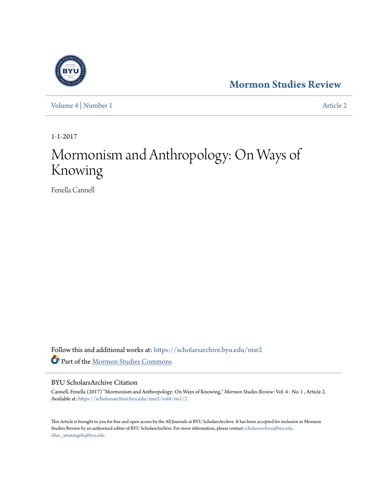[Volume 4](https://scholarsarchive.byu.edu/msr2/vol4?utm_source=scholarsarchive.byu.edu%2Fmsr2%2Fvol4%2Fiss1%2F2&utm_medium=PDF&utm_campaign=PDFCoverPages) | [Number 1](https://scholarsarchive.byu.edu/msr2/vol4/iss1?utm_source=scholarsarchive.byu.edu%2Fmsr2%2Fvol4%2Fiss1%2F2&utm_medium=PDF&utm_campaign=PDFCoverPages) [Article 2](https://scholarsarchive.byu.edu/msr2/vol4/iss1/2?utm_source=scholarsarchive.byu.edu%2Fmsr2%2Fvol4%2Fiss1%2F2&utm_medium=PDF&utm_campaign=PDFCoverPages)

1-1-2017

# Mormonism and Anthropology: On Ways of Knowing

Fenella Cannell

Follow this and additional works at: [https://scholarsarchive.byu.edu/msr2](https://scholarsarchive.byu.edu/msr2?utm_source=scholarsarchive.byu.edu%2Fmsr2%2Fvol4%2Fiss1%2F2&utm_medium=PDF&utm_campaign=PDFCoverPages) Part of the [Mormon Studies Commons](http://network.bepress.com/hgg/discipline/1360?utm_source=scholarsarchive.byu.edu%2Fmsr2%2Fvol4%2Fiss1%2F2&utm_medium=PDF&utm_campaign=PDFCoverPages)

#### BYU ScholarsArchive Citation

Cannell, Fenella (2017) "Mormonism and Anthropology: On Ways of Knowing," *Mormon Studies Review*: Vol. 4 : No. 1 , Article 2. Available at: [https://scholarsarchive.byu.edu/msr2/vol4/iss1/2](https://scholarsarchive.byu.edu/msr2/vol4/iss1/2?utm_source=scholarsarchive.byu.edu%2Fmsr2%2Fvol4%2Fiss1%2F2&utm_medium=PDF&utm_campaign=PDFCoverPages)

This Article is brought to you for free and open access by the All Journals at BYU ScholarsArchive. It has been accepted for inclusion in Mormon Studies Review by an authorized editor of BYU ScholarsArchive. For more information, please contact [scholarsarchive@byu.edu,](mailto:scholarsarchive@byu.edu,%20ellen_amatangelo@byu.edu) [ellen\\_amatangelo@byu.edu.](mailto:scholarsarchive@byu.edu,%20ellen_amatangelo@byu.edu)

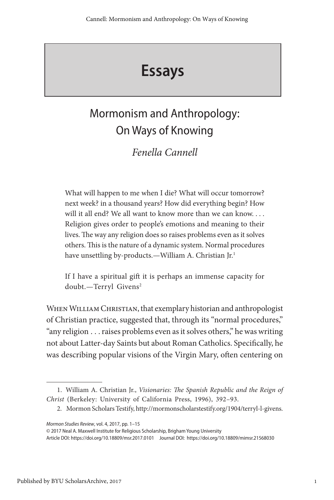# **Essays**

## Mormonism and Anthropology: On Ways of Knowing

### *Fenella Cannell*

What will happen to me when I die? What will occur tomorrow? next week? in a thousand years? How did everything begin? How will it all end? We all want to know more than we can know. . . . Religion gives order to people's emotions and meaning to their lives. The way any religion does so raises problems even as it solves others. This is the nature of a dynamic system. Normal procedures have unsettling by-products.—William A. Christian Jr.<sup>1</sup>

If I have a spiritual gift it is perhaps an immense capacity for doubt.—Terryl Givens<sup>2</sup>

WHEN WILLIAM CHRISTIAN, that exemplary historian and anthropologist of Christian practice, suggested that, through its "normal procedures," "any religion . . . raises problems even as it solves others," he was writing not about Latter-day Saints but about Roman Catholics. Specifically, he was describing popular visions of the Virgin Mary, often centering on

<sup>1.</sup> William A. Christian Jr., *Visionaries: The Spanish Republic and the Reign of Christ* (Berkeley: University of California Press, 1996), 392–93.

<sup>2.</sup> Mormon Scholars Testify, http://mormonscholarstestify.org/1904/terryl-l-givens.

*Mormon Studies Review*, vol. 4, 2017, pp. 1–15

<sup>© 2017</sup> Neal A. Maxwell Institute for Religious Scholarship, Brigham Young University

Article DOI: https://doi.org/10.18809/msr.2017.0101 Journal DOI: https://doi.org/10.18809/mimsr.21568030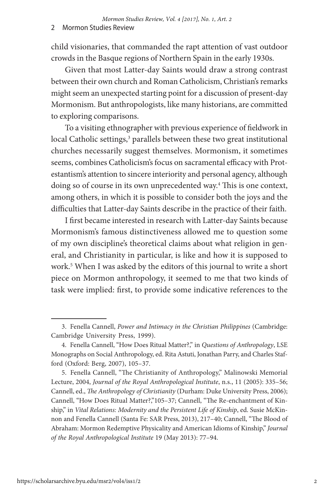child visionaries, that commanded the rapt attention of vast outdoor crowds in the Basque regions of Northern Spain in the early 1930s.

Given that most Latter-day Saints would draw a strong contrast between their own church and Roman Catholicism, Christian's remarks might seem an unexpected starting point for a discussion of present-day Mormonism. But anthropologists, like many historians, are committed to exploring comparisons.

To a visiting ethnographer with previous experience of fieldwork in local Catholic settings,<sup>3</sup> parallels between these two great institutional churches necessarily suggest themselves. Mormonism, it sometimes seems, combines Catholicism's focus on sacramental efficacy with Protestantism's attention to sincere interiority and personal agency, although doing so of course in its own unprecedented way.<sup>4</sup> This is one context, among others, in which it is possible to consider both the joys and the difficulties that Latter-day Saints describe in the practice of their faith.

I first became interested in research with Latter-day Saints because Mormonism's famous distinctiveness allowed me to question some of my own discipline's theoretical claims about what religion in general, and Christianity in particular, is like and how it is supposed to work.5 When I was asked by the editors of this journal to write a short piece on Mormon anthropology, it seemed to me that two kinds of task were implied: first, to provide some indicative references to the

<sup>3.</sup> Fenella Cannell, *Power and Intimacy in the Christian Philippines* (Cambridge: Cambridge University Press, 1999).

<sup>4.</sup> Fenella Cannell, "How Does Ritual Matter?," in *Questions of Anthropology*, LSE Monographs on Social Anthropology, ed. Rita Astuti, Jonathan Parry, and Charles Stafford (Oxford: Berg, 2007), 105–37.

<sup>5.</sup> Fenella Cannell, "The Christianity of Anthropology," Malinowski Memorial Lecture, 2004, *Journal of the Royal Anthropological Institute*, n.s., 11 (2005): 335–56; Cannell, ed., *The Anthropology of Christianity* (Durham: Duke University Press, 2006); Cannell, "How Does Ritual Matter?,"105–37; Cannell, "The Re-enchantment of Kinship," in *Vital Relations: Modernity and the Persistent Life of Kinship*, ed. Susie McKinnon and Fenella Cannell (Santa Fe: SAR Press, 2013), 217–40; Cannell, "The Blood of Abraham: Mormon Redemptive Physicality and American Idioms of Kinship," *Journal of the Royal Anthropological Institute* 19 (May 2013): 77–94.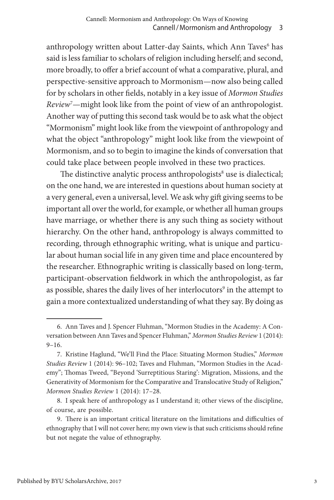anthropology written about Latter-day Saints, which Ann Taves<sup>6</sup> has said is less familiar to scholars of religion including herself; and second, more broadly, to offer a brief account of what a comparative, plural, and perspective-sensitive approach to Mormonism—now also being called for by scholars in other fields, notably in a key issue of *Mormon Studies*  Review<sup>7</sup> — might look like from the point of view of an anthropologist. Another way of putting this second task would be to ask what the object "Mormonism" might look like from the viewpoint of anthropology and what the object "anthropology" might look like from the viewpoint of Mormonism, and so to begin to imagine the kinds of conversation that could take place between people involved in these two practices.

The distinctive analytic process anthropologists<sup>8</sup> use is dialectical; on the one hand, we are interested in questions about human society at a very general, even a universal, level. We ask why gift giving seems to be important all over the world, for example, or whether all human groups have marriage, or whether there is any such thing as society without hierarchy. On the other hand, anthropology is always committed to recording, through ethnographic writing, what is unique and particular about human social life in any given time and place encountered by the researcher. Ethnographic writing is classically based on long-term, participant-observation fieldwork in which the anthropologist, as far as possible, shares the daily lives of her interlocutors<sup>9</sup> in the attempt to gain a more contextualized understanding of what they say. By doing as

<sup>6.</sup> Ann Taves and J. Spencer Fluhman, "Mormon Studies in the Academy: A Conversation between Ann Taves and Spencer Fluhman," *Mormon Studies Review* 1 (2014): 9–16.

<sup>7.</sup> Kristine Haglund, "We'll Find the Place: Situating Mormon Studies," *Mormon Studies Review* 1 (2014): 96–102; Taves and Fluhman, "Mormon Studies in the Academy"; Thomas Tweed, "Beyond 'Surreptitious Staring': Migration, Missions, and the Generativity of Mormonism for the Comparative and Translocative Study of Religion," *Mormon Studies Review* 1 (2014): 17–28.

<sup>8.</sup> I speak here of anthropology as I understand it; other views of the discipline, of course, are possible.

<sup>9.</sup> There is an important critical literature on the limitations and difficulties of ethnography that I will not cover here; my own view is that such criticisms should refine but not negate the value of ethnography.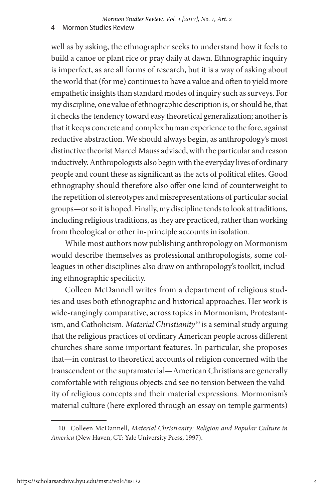well as by asking, the ethnographer seeks to understand how it feels to build a canoe or plant rice or pray daily at dawn. Ethnographic inquiry is imperfect, as are all forms of research, but it is a way of asking about the world that (for me) continues to have a value and often to yield more empathetic insights than standard modes of inquiry such as surveys. For my discipline, one value of ethnographic description is, or should be, that it checks the tendency toward easy theoretical generalization; another is that it keeps concrete and complex human experience to the fore, against reductive abstraction. We should always begin, as anthropology's most distinctive theorist Marcel Mauss advised, with the particular and reason inductively. Anthropologists also begin with the everyday lives of ordinary people and count these as significant as the acts of political elites. Good ethnography should therefore also offer one kind of counterweight to the repetition of stereotypes and misrepresentations of particular social groups—or so it is hoped. Finally, my discipline tends to look at traditions, including religious traditions, as they are practiced, rather than working from theological or other in-principle accounts in isolation.

While most authors now publishing anthropology on Mormonism would describe themselves as professional anthropologists, some colleagues in other disciplines also draw on anthropology's toolkit, including ethnographic specificity.

Colleen McDannell writes from a department of religious studies and uses both ethnographic and historical approaches. Her work is wide-rangingly comparative, across topics in Mormonism, Protestantism, and Catholicism. *Material Christianity*<sup>10</sup> is a seminal study arguing that the religious practices of ordinary American people across different churches share some important features. In particular, she proposes that—in contrast to theoretical accounts of religion concerned with the transcendent or the supramaterial—American Christians are generally comfortable with religious objects and see no tension between the validity of religious concepts and their material expressions. Mormonism's material culture (here explored through an essay on temple garments)

<sup>10.</sup> Colleen McDannell, *Material Christianity: Religion and Popular Culture in America* (New Haven, CT: Yale University Press, 1997).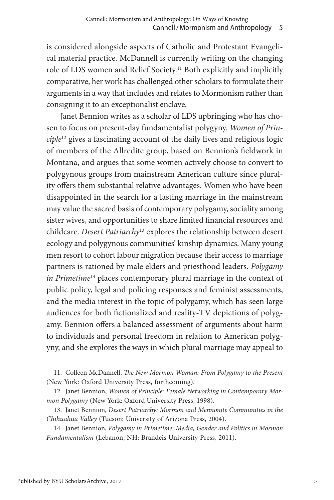is considered alongside aspects of Catholic and Protestant Evangelical material practice. McDannell is currently writing on the changing role of LDS women and Relief Society.11 Both explicitly and implicitly comparative, her work has challenged other scholars to formulate their arguments in a way that includes and relates to Mormonism rather than consigning it to an exceptionalist enclave.

Janet Bennion writes as a scholar of LDS upbringing who has chosen to focus on present-day fundamentalist polygyny. *Women of Principle*12 gives a fascinating account of the daily lives and religious logic of members of the Allredite group, based on Bennion's fieldwork in Montana, and argues that some women actively choose to convert to polygynous groups from mainstream American culture since plurality offers them substantial relative advantages. Women who have been disappointed in the search for a lasting marriage in the mainstream may value the sacred basis of contemporary polygamy, sociality among sister wives, and opportunities to share limited financial resources and childcare. *Desert Patriarchy*<sup>13</sup> explores the relationship between desert ecology and polygynous communities' kinship dynamics. Many young men resort to cohort labour migration because their access to marriage partners is rationed by male elders and priesthood leaders. *Polygamy in Primetime*<sup>14</sup> places contemporary plural marriage in the context of public policy, legal and policing responses and feminist assessments, and the media interest in the topic of polygamy, which has seen large audiences for both fictionalized and reality-TV depictions of polygamy. Bennion offers a balanced assessment of arguments about harm to individuals and personal freedom in relation to American polygyny, and she explores the ways in which plural marriage may appeal to

<sup>11.</sup> Colleen McDannell, *The New Mormon Woman: From Polygamy to the Present*  (New York: Oxford University Press, forthcoming).

<sup>12.</sup> Janet Bennion, *Women of Principle: Female Networking in Contemporary Mormon Polygamy* (New York: Oxford University Press, 1998).

<sup>13.</sup> Janet Bennion, *Desert Patriarchy: Mormon and Mennonite Communities in the Chihuahua Valley* (Tucson: University of Arizona Press, 2004).

<sup>14.</sup> Janet Bennion, *Polygamy in Primetime: Media, Gender and Politics in Mormon Fundamentalism* (Lebanon, NH: Brandeis University Press, 2011).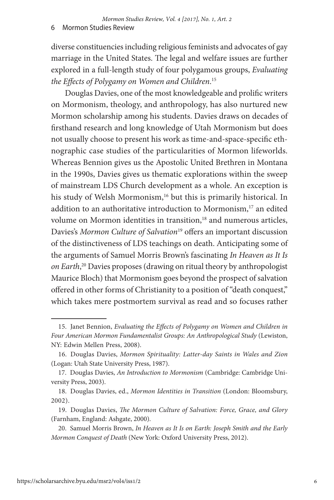diverse constituencies including religious feminists and advocates of gay marriage in the United States. The legal and welfare issues are further explored in a full-length study of four polygamous groups, *Evaluating the Effects of Polygamy on Women and Children*. 15

Douglas Davies, one of the most knowledgeable and prolific writers on Mormonism, theology, and anthropology, has also nurtured new Mormon scholarship among his students. Davies draws on decades of firsthand research and long knowledge of Utah Mormonism but does not usually choose to present his work as time-and-space-specific ethnographic case studies of the particularities of Mormon lifeworlds. Whereas Bennion gives us the Apostolic United Brethren in Montana in the 1990s, Davies gives us thematic explorations within the sweep of mainstream LDS Church development as a whole. An exception is his study of Welsh Mormonism,<sup>16</sup> but this is primarily historical. In addition to an authoritative introduction to Mormonism,<sup>17</sup> an edited volume on Mormon identities in transition,<sup>18</sup> and numerous articles, Davies's *Mormon Culture of Salvation*<sup>19</sup> offers an important discussion of the distinctiveness of LDS teachings on death. Anticipating some of the arguments of Samuel Morris Brown's fascinating *In Heaven as It Is on Earth*, 20 Davies proposes (drawing on ritual theory by anthropologist Maurice Bloch) that Mormonism goes beyond the prospect of salvation offered in other forms of Christianity to a position of "death conquest," which takes mere postmortem survival as read and so focuses rather

<sup>15.</sup> Janet Bennion, *Evaluating the Effects of Polygamy on Women and Children in Four American Mormon Fundamentalist Groups: An Anthropological Study* (Lewiston, NY: Edwin Mellen Press, 2008).

<sup>16.</sup> Douglas Davies, *Mormon Spirituality: Latter-day Saints in Wales and Zion* (Logan: Utah State University Press, 1987).

<sup>17.</sup> Douglas Davies, *An Introduction to Mormonism* (Cambridge: Cambridge University Press, 2003).

<sup>18.</sup> Douglas Davies, ed., *Mormon Identities in Transition* (London: Bloomsbury, 2002).

<sup>19.</sup> Douglas Davies, *The Mormon Culture of Salvation: Force, Grace, and Glory*  (Farnham, England: Ashgate, 2000).

<sup>20.</sup> Samuel Morris Brown, *In Heaven as It Is on Earth: Joseph Smith and the Early Mormon Conquest of Death* (New York: Oxford University Press, 2012).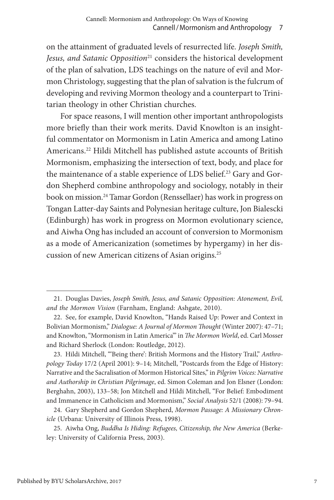on the attainment of graduated levels of resurrected life. *Joseph Smith, Jesus, and Satanic Opposition*<sup>21</sup> considers the historical development of the plan of salvation, LDS teachings on the nature of evil and Mormon Christology, suggesting that the plan of salvation is the fulcrum of developing and reviving Mormon theology and a counterpart to Trinitarian theology in other Christian churches.

For space reasons, I will mention other important anthropologists more briefly than their work merits. David Knowlton is an insightful commentator on Mormonism in Latin America and among Latino Americans.22 Hildi Mitchell has published astute accounts of British Mormonism, emphasizing the intersection of text, body, and place for the maintenance of a stable experience of LDS belief.<sup>23</sup> Gary and Gordon Shepherd combine anthropology and sociology, notably in their book on mission.24 Tamar Gordon (Renssellaer) has work in progress on Tongan Latter-day Saints and Polynesian heritage culture, Jon Bialescki (Edinburgh) has work in progress on Mormon evolutionary science, and Aiwha Ong has included an account of conversion to Mormonism as a mode of Americanization (sometimes by hypergamy) in her discussion of new American citizens of Asian origins.25

<sup>21.</sup> Douglas Davies, *Joseph Smith, Jesus, and Satanic Opposition: Atonement, Evil, and the Mormon Vision* (Farnham, England: Ashgate, 2010).

<sup>22.</sup> See, for example, David Knowlton, "Hands Raised Up: Power and Context in Bolivian Mormonism," *Dialogue: A Journal of Mormon Thought* (Winter 2007): 47–71; and Knowlton, "Mormonism in Latin America'" in *The Mormon World*, ed. Carl Mosser and Richard Sherlock (London: Routledge, 2012).

<sup>23.</sup> Hildi Mitchell, "'Being there': British Mormons and the History Trail," *Anthropology Today* 17/2 (April 2001): 9–14; Mitchell, "Postcards from the Edge of History: Narrative and the Sacralisation of Mormon Historical Sites," in *Pilgrim Voices: Narrative and Authorship in Christian Pilgrimage*, ed. Simon Coleman and Jon Elsner (London: Berghahn, 2003), 133–58; Jon Mitchell and Hildi Mitchell, "For Belief: Embodiment and Immanence in Catholicism and Mormonism," *Social Analysis* 52/1 (2008): 79–94.

<sup>24.</sup> Gary Shepherd and Gordon Shepherd, *Mormon Passage: A Missionary Chronicle* (Urbana: University of Illinois Press, 1998).

<sup>25.</sup> Aiwha Ong, *Buddha Is Hiding: Refugees, Citizenship, the New America* (Berkeley: University of California Press, 2003).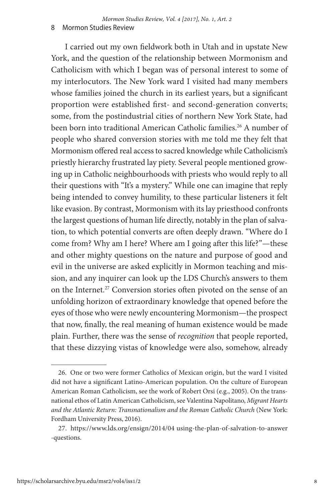I carried out my own fieldwork both in Utah and in upstate New York, and the question of the relationship between Mormonism and Catholicism with which I began was of personal interest to some of my interlocutors. The New York ward I visited had many members whose families joined the church in its earliest years, but a significant proportion were established first- and second-generation converts; some, from the postindustrial cities of northern New York State, had been born into traditional American Catholic families.<sup>26</sup> A number of people who shared conversion stories with me told me they felt that Mormonism offered real access to sacred knowledge while Catholicism's priestly hierarchy frustrated lay piety. Several people mentioned growing up in Catholic neighbourhoods with priests who would reply to all their questions with "It's a mystery." While one can imagine that reply being intended to convey humility, to these particular listeners it felt like evasion. By contrast, Mormonism with its lay priesthood confronts the largest questions of human life directly, notably in the plan of salvation, to which potential converts are often deeply drawn. "Where do I come from? Why am I here? Where am I going after this life?"—these and other mighty questions on the nature and purpose of good and evil in the universe are asked explicitly in Mormon teaching and mission, and any inquirer can look up the LDS Church's answers to them on the Internet.<sup>27</sup> Conversion stories often pivoted on the sense of an unfolding horizon of extraordinary knowledge that opened before the eyes of those who were newly encountering Mormonism—the prospect that now, finally, the real meaning of human existence would be made plain. Further, there was the sense of *recognition* that people reported, that these dizzying vistas of knowledge were also, somehow, already

<sup>26.</sup> One or two were former Catholics of Mexican origin, but the ward I visited did not have a significant Latino-American population. On the culture of European American Roman Catholicism, see the work of Robert Orsi (e.g., 2005). On the transnational ethos of Latin American Catholicism, see Valentina Napolitano, *Migrant Hearts and the Atlantic Return: Transnationalism and the Roman Catholic Church* (New York: Fordham University Press, 2016).

<sup>27.</sup> https://www.lds.org/ensign/2014/04 using-the-plan-of-salvation-to-answer -questions.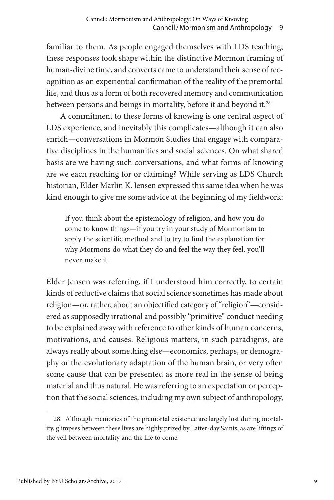familiar to them. As people engaged themselves with LDS teaching, these responses took shape within the distinctive Mormon framing of human-divine time, and converts came to understand their sense of recognition as an experiential confirmation of the reality of the premortal life, and thus as a form of both recovered memory and communication between persons and beings in mortality, before it and beyond it.<sup>28</sup>

A commitment to these forms of knowing is one central aspect of LDS experience, and inevitably this complicates—although it can also enrich—conversations in Mormon Studies that engage with comparative disciplines in the humanities and social sciences. On what shared basis are we having such conversations, and what forms of knowing are we each reaching for or claiming? While serving as LDS Church historian, Elder Marlin K. Jensen expressed this same idea when he was kind enough to give me some advice at the beginning of my fieldwork:

If you think about the epistemology of religion, and how you do come to know things—if you try in your study of Mormonism to apply the scientific method and to try to find the explanation for why Mormons do what they do and feel the way they feel, you'll never make it.

Elder Jensen was referring, if I understood him correctly, to certain kinds of reductive claims that social science sometimes has made about religion—or, rather, about an objectified category of "religion"—considered as supposedly irrational and possibly "primitive" conduct needing to be explained away with reference to other kinds of human concerns, motivations, and causes. Religious matters, in such paradigms, are always really about something else—economics, perhaps, or demography or the evolutionary adaptation of the human brain, or very often some cause that can be presented as more real in the sense of being material and thus natural. He was referring to an expectation or perception that the social sciences, including my own subject of anthropology,

<sup>28.</sup> Although memories of the premortal existence are largely lost during mortality, glimpses between these lives are highly prized by Latter-day Saints, as are liftings of the veil between mortality and the life to come.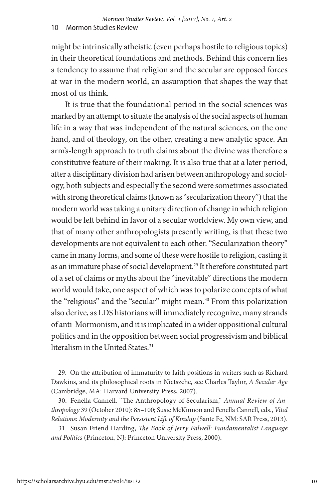might be intrinsically atheistic (even perhaps hostile to religious topics) in their theoretical foundations and methods. Behind this concern lies a tendency to assume that religion and the secular are opposed forces at war in the modern world, an assumption that shapes the way that most of us think.

It is true that the foundational period in the social sciences was marked by an attempt to situate the analysis of the social aspects of human life in a way that was independent of the natural sciences, on the one hand, and of theology, on the other, creating a new analytic space. An arm's-length approach to truth claims about the divine was therefore a constitutive feature of their making. It is also true that at a later period, after a disciplinary division had arisen between anthropology and sociology, both subjects and especially the second were sometimes associated with strong theoretical claims (known as "secularization theory") that the modern world was taking a unitary direction of change in which religion would be left behind in favor of a secular worldview. My own view, and that of many other anthropologists presently writing, is that these two developments are not equivalent to each other. "Secularization theory" came in many forms, and some of these were hostile to religion, casting it as an immature phase of social development.<sup>29</sup> It therefore constituted part of a set of claims or myths about the "inevitable" directions the modern world would take, one aspect of which was to polarize concepts of what the "religious" and the "secular" might mean.<sup>30</sup> From this polarization also derive, as LDS historians will immediately recognize, many strands of anti-Mormonism, and it is implicated in a wider oppositional cultural politics and in the opposition between social progressivism and biblical literalism in the United States<sup>31</sup>

<sup>29.</sup> On the attribution of immaturity to faith positions in writers such as Richard Dawkins, and its philosophical roots in Nietszche, see Charles Taylor, *A Secular Age* (Cambridge, MA: Harvard University Press, 2007).

<sup>30.</sup> Fenella Cannell, "The Anthropology of Secularism," *Annual Review of Anthropology* 39 (October 2010): 85–100; Susie McKinnon and Fenella Cannell, eds., *Vital Relations: Modernity and the Persistent Life of Kinship* (Sante Fe, NM: SAR Press, 2013).

<sup>31.</sup> Susan Friend Harding, *The Book of Jerry Falwell: Fundamentalist Language and Politics* (Princeton, NJ: Princeton University Press, 2000).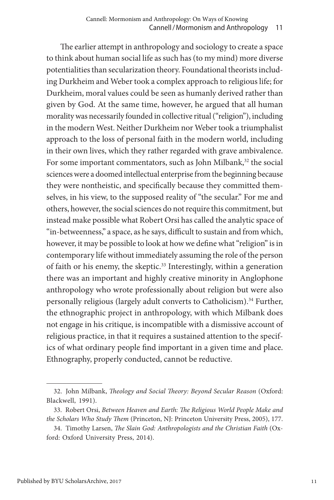The earlier attempt in anthropology and sociology to create a space to think about human social life as such has (to my mind) more diverse potentialities than secularization theory. Foundational theorists including Durkheim and Weber took a complex approach to religious life; for Durkheim, moral values could be seen as humanly derived rather than given by God. At the same time, however, he argued that all human morality was necessarily founded in collective ritual ("religion"), including in the modern West. Neither Durkheim nor Weber took a triumphalist approach to the loss of personal faith in the modern world, including in their own lives, which they rather regarded with grave ambivalence. For some important commentators, such as John Milbank,<sup>32</sup> the social sciences were a doomed intellectual enterprise from the beginning because they were nontheistic, and specifically because they committed themselves, in his view, to the supposed reality of "the secular." For me and others, however, the social sciences do not require this commitment, but instead make possible what Robert Orsi has called the analytic space of "in-betweenness," a space, as he says, difficult to sustain and from which, however, it may be possible to look at how we define what "religion" is in contemporary life without immediately assuming the role of the person of faith or his enemy, the skeptic.<sup>33</sup> Interestingly, within a generation there was an important and highly creative minority in Anglophone anthropology who wrote professionally about religion but were also personally religious (largely adult converts to Catholicism).<sup>34</sup> Further, the ethnographic project in anthropology, with which Milbank does not engage in his critique, is incompatible with a dismissive account of religious practice, in that it requires a sustained attention to the specifics of what ordinary people find important in a given time and place. Ethnography, properly conducted, cannot be reductive.

<sup>32.</sup> John Milbank, *Theology and Social Theory: Beyond Secular Reason* (Oxford: Blackwell, 1991).

<sup>33.</sup> Robert Orsi, *Between Heaven and Earth: The Religious World People Make and the Scholars Who Study Them* (Princeton, NJ: Princeton University Press, 2005), 177.

<sup>34.</sup> Timothy Larsen, *The Slain God: Anthropologists and the Christian Faith* (Oxford: Oxford University Press, 2014).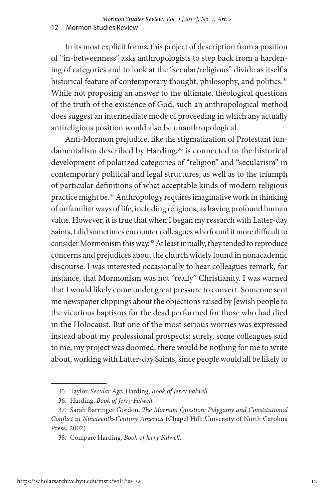In its most explicit forms, this project of description from a position of "in-betweenness" asks anthropologists to step back from a hardening of categories and to look at the "secular/religious" divide as itself a historical feature of contemporary thought, philosophy, and politics.<sup>35</sup> While not proposing an answer to the ultimate, theological questions of the truth of the existence of God, such an anthropological method does suggest an intermediate mode of proceeding in which any actually antireligious position would also be unanthropological.

Anti-Mormon prejudice, like the stigmatization of Protestant fundamentalism described by Harding,<sup>36</sup> is connected to the historical development of polarized categories of "religion" and "secularism" in contemporary political and legal structures, as well as to the triumph of particular definitions of what acceptable kinds of modern religious practice might be.37 Anthropology requires imaginative work in thinking of unfamiliar ways of life, including religions, as having profound human value. However, it is true that when I began my research with Latter-day Saints, I did sometimes encounter colleagues who found it more difficult to consider Mormonism this way.<sup>38</sup> At least initially, they tended to reproduce concerns and prejudices about the church widely found in nonacademic discourse. I was interested occasionally to hear colleagues remark, for instance, that Mormonism was not "really" Christianity. I was warned that I would likely come under great pressure to convert. Someone sent me newspaper clippings about the objections raised by Jewish people to the vicarious baptisms for the dead performed for those who had died in the Holocaust. But one of the most serious worries was expressed instead about my professional prospects; surely, some colleagues said to me, my project was doomed; there would be nothing for me to write about, working with Latter-day Saints, since people would all be likely to

<sup>35.</sup> Taylor, *Secular Age*; Harding, *Book of Jerry Falwell*.

<sup>36.</sup> Harding, *Book of Jerry Falwell*.

<sup>37.</sup> Sarah Barringer Gordon, *The Mormon Question: Polygamy and Constitutional Conflict in Nineteenth-Century America* (Chapel Hill: University of North Carolina Press, 2002).

<sup>38.</sup> Compare Harding, *Book of Jerry Falwell*.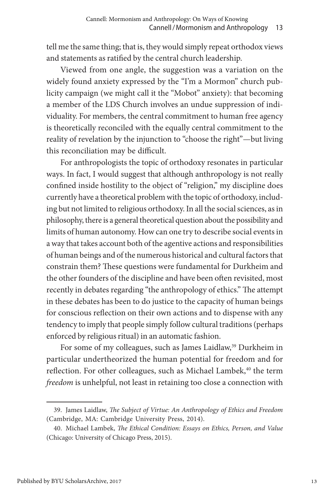tell me the same thing; that is, they would simply repeat orthodox views and statements as ratified by the central church leadership.

Viewed from one angle, the suggestion was a variation on the widely found anxiety expressed by the "I'm a Mormon" church publicity campaign (we might call it the "Mobot" anxiety): that becoming a member of the LDS Church involves an undue suppression of individuality. For members, the central commitment to human free agency is theoretically reconciled with the equally central commitment to the reality of revelation by the injunction to "choose the right"—but living this reconciliation may be difficult.

For anthropologists the topic of orthodoxy resonates in particular ways. In fact, I would suggest that although anthropology is not really confined inside hostility to the object of "religion," my discipline does currently have a theoretical problem with the topic of orthodoxy, including but not limited to religious orthodoxy. In all the social sciences, as in philosophy, there is a general theoretical question about the possibility and limits of human autonomy. How can one try to describe social events in a way that takes account both of the agentive actions and responsibilities of human beings and of the numerous historical and cultural factors that constrain them? These questions were fundamental for Durkheim and the other founders of the discipline and have been often revisited, most recently in debates regarding "the anthropology of ethics." The attempt in these debates has been to do justice to the capacity of human beings for conscious reflection on their own actions and to dispense with any tendency to imply that people simply follow cultural traditions (perhaps enforced by religious ritual) in an automatic fashion.

For some of my colleagues, such as James Laidlaw,<sup>39</sup> Durkheim in particular undertheorized the human potential for freedom and for reflection. For other colleagues, such as Michael Lambek,<sup>40</sup> the term *freedom* is unhelpful, not least in retaining too close a connection with

<sup>39.</sup> James Laidlaw, *The Subject of Virtue: An Anthropology of Ethics and Freedom* (Cambridge, MA: Cambridge University Press, 2014).

<sup>40.</sup> Michael Lambek, *The Ethical Condition: Essays on Ethics, Person, and Value* (Chicago: University of Chicago Press, 2015).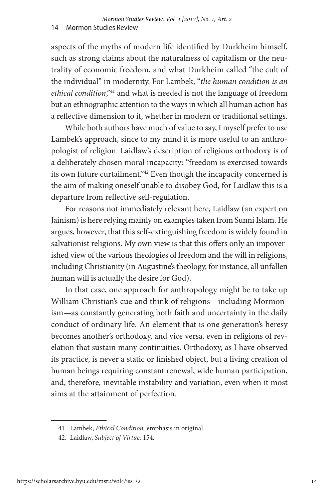aspects of the myths of modern life identified by Durkheim himself, such as strong claims about the naturalness of capitalism or the neutrality of economic freedom, and what Durkheim called "the cult of the individual" in modernity. For Lambek, "*the human condition is an ethical condition*,"41 and what is needed is not the language of freedom but an ethnographic attention to the ways in which all human action has a reflective dimension to it, whether in modern or traditional settings.

While both authors have much of value to say, I myself prefer to use Lambek's approach, since to my mind it is more useful to an anthropologist of religion. Laidlaw's description of religious orthodoxy is of a deliberately chosen moral incapacity: "freedom is exercised towards its own future curtailment."<sup>42</sup> Even though the incapacity concerned is the aim of making oneself unable to disobey God, for Laidlaw this is a departure from reflective self-regulation.

For reasons not immediately relevant here, Laidlaw (an expert on Jainism) is here relying mainly on examples taken from Sunni Islam. He argues, however, that this self-extinguishing freedom is widely found in salvationist religions. My own view is that this offers only an impoverished view of the various theologies of freedom and the will in religions, including Christianity (in Augustine's theology, for instance, all unfallen human will is actually the desire for God).

In that case, one approach for anthropology might be to take up William Christian's cue and think of religions—including Mormonism—as constantly generating both faith and uncertainty in the daily conduct of ordinary life. An element that is one generation's heresy becomes another's orthodoxy, and vice versa, even in religions of revelation that sustain many continuities. Orthodoxy, as I have observed its practice, is never a static or finished object, but a living creation of human beings requiring constant renewal, wide human participation, and, therefore, inevitable instability and variation, even when it most aims at the attainment of perfection.

<sup>41.</sup> Lambek, *Ethical Condition,* emphasis in original.

<sup>42.</sup> Laidlaw, *Subject of Virtue*, 154.